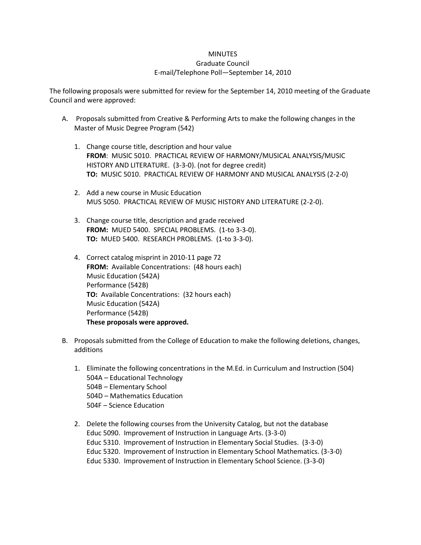## **MINUTES** Graduate Council E-mail/Telephone Poll—September 14, 2010

The following proposals were submitted for review for the September 14, 2010 meeting of the Graduate Council and were approved:

- A. Proposals submitted from Creative & Performing Arts to make the following changes in the Master of Music Degree Program (542)
	- 1. Change course title, description and hour value **FROM**: MUSIC 5010. PRACTICAL REVIEW OF HARMONY/MUSICAL ANALYSIS/MUSIC HISTORY AND LITERATURE. (3-3-0). (not for degree credit) **TO:** MUSIC 5010. PRACTICAL REVIEW OF HARMONY AND MUSICAL ANALYSIS (2-2-0)
	- 2. Add a new course in Music Education MUS 5050. PRACTICAL REVIEW OF MUSIC HISTORY AND LITERATURE (2-2-0).
	- 3. Change course title, description and grade received **FROM:** MUED 5400. SPECIAL PROBLEMS. (1-to 3-3-0). **TO:** MUED 5400. RESEARCH PROBLEMS. (1-to 3-3-0).
	- 4. Correct catalog misprint in 2010-11 page 72 **FROM:** Available Concentrations: (48 hours each) Music Education (542A) Performance (542B) **TO:** Available Concentrations: (32 hours each) Music Education (542A) Performance (542B) **These proposals were approved.**
- B. Proposals submitted from the College of Education to make the following deletions, changes, additions
	- 1. Eliminate the following concentrations in the M.Ed. in Curriculum and Instruction (504) 504A – Educational Technology 504B – Elementary School 504D – Mathematics Education 504F – Science Education
	- 2. Delete the following courses from the University Catalog, but not the database Educ 5090. Improvement of Instruction in Language Arts. (3-3-0) Educ 5310. Improvement of Instruction in Elementary Social Studies. (3-3-0) Educ 5320. Improvement of Instruction in Elementary School Mathematics. (3-3-0) Educ 5330. Improvement of Instruction in Elementary School Science. (3-3-0)